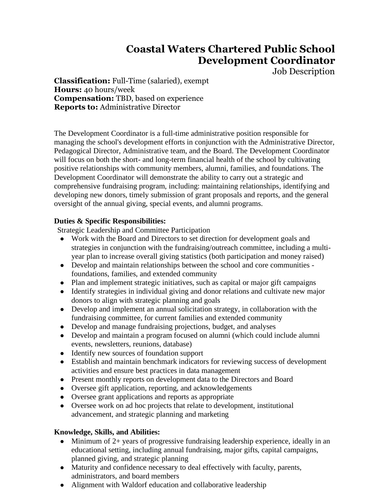## **Coastal Waters Chartered Public School Development Coordinator**

Job Description

**Classification:** Full-Time (salaried), exempt **Hours:** 40 hours/week **Compensation:** TBD, based on experience **Reports to:** Administrative Director

The Development Coordinator is a full-time administrative position responsible for managing the school's development efforts in conjunction with the Administrative Director, Pedagogical Director, Administrative team, and the Board. The Development Coordinator will focus on both the short- and long-term financial health of the school by cultivating positive relationships with community members, alumni, families, and foundations. The Development Coordinator will demonstrate the ability to carry out a strategic and comprehensive fundraising program, including: maintaining relationships, identifying and developing new donors, timely submission of grant proposals and reports, and the general oversight of the annual giving, special events, and alumni programs.

## **Duties & Specific Responsibilities:**

Strategic Leadership and Committee Participation

- Work with the Board and Directors to set direction for development goals and strategies in conjunction with the fundraising/outreach committee, including a multiyear plan to increase overall giving statistics (both participation and money raised)
- Develop and maintain relationships between the school and core communities foundations, families, and extended community
- Plan and implement strategic initiatives, such as capital or major gift campaigns
- Identify strategies in individual giving and donor relations and cultivate new major donors to align with strategic planning and goals
- Develop and implement an annual solicitation strategy, in collaboration with the fundraising committee, for current families and extended community
- Develop and manage fundraising projections, budget, and analyses
- Develop and maintain a program focused on alumni (which could include alumni events, newsletters, reunions, database)
- Identify new sources of foundation support
- Establish and maintain benchmark indicators for reviewing success of development activities and ensure best practices in data management
- Present monthly reports on development data to the Directors and Board
- Oversee gift application, reporting, and acknowledgements
- Oversee grant applications and reports as appropriate
- Oversee work on ad hoc projects that relate to development, institutional advancement, and strategic planning and marketing

## **Knowledge, Skills, and Abilities:**

- Minimum of  $2+$  years of progressive fundraising leadership experience, ideally in an educational setting, including annual fundraising, major gifts, capital campaigns, planned giving, and strategic planning
- Maturity and confidence necessary to deal effectively with faculty, parents, administrators, and board members
- Alignment with Waldorf education and collaborative leadership